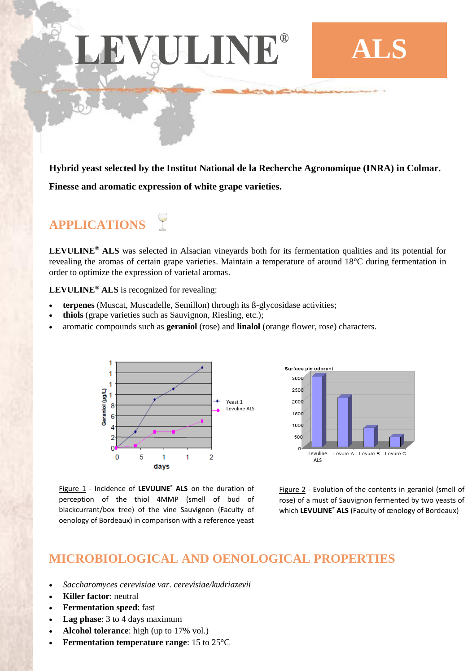# EVJUINE

**Hybrid yeast selected by the Institut National de la Recherche Agronomique (INRA) in Colmar. Finesse and aromatic expression of white grape varieties.**

## **APPLICATIONS**

**LEVULINE® ALS** was selected in Alsacian vineyards both for its fermentation qualities and its potential for revealing the aromas of certain grape varieties. Maintain a temperature of around 18°C during fermentation in order to optimize the expression of varietal aromas.

**LEVULINE® ALS** is recognized for revealing:

- **terpenes** (Muscat, Muscadelle, Semillon) through its ß-glycosidase activities;
- **thiols** (grape varieties such as Sauvignon, Riesling, etc.);
- aromatic compounds such as **geraniol** (rose) and **linalol** (orange flower, rose) characters.



Surface pic odorant 3000 2500 2000  $1500$  $1000$ 500 Levuline Levure A Levure B Levure C ALS

Figure 1 - Incidence of **LEVULINE® ALS** on the duration of perception of the thiol 4MMP (smell of bud of blackcurrant/box tree) of the vine Sauvignon (Faculty of oenology of Bordeaux) in comparison with a reference yeast

Figure 2 - Evolution of the contents in geraniol (smell of rose) of a must of Sauvignon fermented by two yeasts of which **LEVULINE® ALS** (Faculty of œnology of Bordeaux)

**ALS**

### **MICROBIOLOGICAL AND OENOLOGICAL PROPERTIES**

- *Saccharomyces cerevisiae var. cerevisiae/kudriazevii*
- **Killer factor**: neutral
- **Fermentation speed**: fast
- **Lag phase**: 3 to 4 days maximum
- **Alcohol tolerance**: high (up to 17% vol.)
- **Fermentation temperature range**: 15 to 25°C